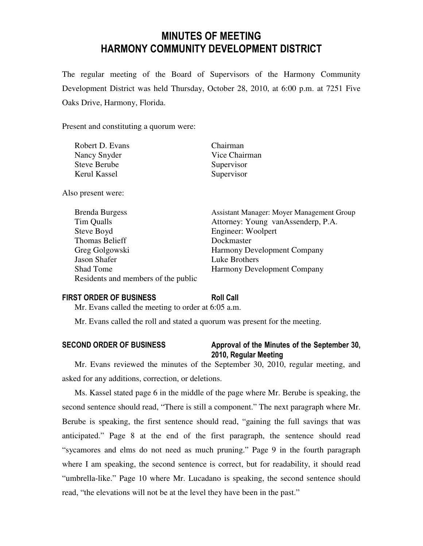# MINUTES OF MEETING HARMONY COMMUNITY DEVELOPMENT DISTRICT

The regular meeting of the Board of Supervisors of the Harmony Community Development District was held Thursday, October 28, 2010, at 6:00 p.m. at 7251 Five Oaks Drive, Harmony, Florida.

Present and constituting a quorum were:

| Robert D. Evans     | Chairman      |
|---------------------|---------------|
| Nancy Snyder        | Vice Chairman |
| <b>Steve Berube</b> | Supervisor    |
| Kerul Kassel        | Supervisor    |

Also present were:

| <b>Brenda Burgess</b>               | Assistant Manager: Moyer Management Group |
|-------------------------------------|-------------------------------------------|
| Tim Qualls                          | Attorney: Young vanAssenderp, P.A.        |
| Steve Boyd                          | Engineer: Woolpert                        |
| Thomas Belieff                      | Dockmaster                                |
| Greg Golgowski                      | <b>Harmony Development Company</b>        |
| Jason Shafer                        | Luke Brothers                             |
| <b>Shad Tome</b>                    | <b>Harmony Development Company</b>        |
| Residents and members of the public |                                           |
|                                     |                                           |

# FIRST ORDER OF BUSINESS Roll Call

Mr. Evans called the meeting to order at 6:05 a.m.

Mr. Evans called the roll and stated a quorum was present for the meeting.

# SECOND ORDER OF BUSINESS Approval of the Minutes of the September 30, 2010, Regular Meeting

Mr. Evans reviewed the minutes of the September 30, 2010, regular meeting, and asked for any additions, correction, or deletions.

Ms. Kassel stated page 6 in the middle of the page where Mr. Berube is speaking, the second sentence should read, "There is still a component." The next paragraph where Mr. Berube is speaking, the first sentence should read, "gaining the full savings that was anticipated." Page 8 at the end of the first paragraph, the sentence should read "sycamores and elms do not need as much pruning." Page 9 in the fourth paragraph where I am speaking, the second sentence is correct, but for readability, it should read "umbrella-like." Page 10 where Mr. Lucadano is speaking, the second sentence should read, "the elevations will not be at the level they have been in the past."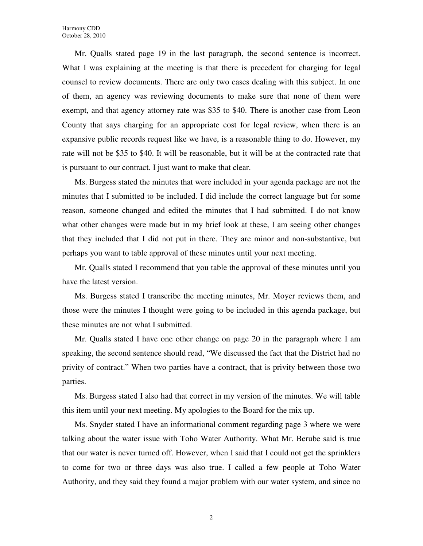Mr. Qualls stated page 19 in the last paragraph, the second sentence is incorrect. What I was explaining at the meeting is that there is precedent for charging for legal counsel to review documents. There are only two cases dealing with this subject. In one of them, an agency was reviewing documents to make sure that none of them were exempt, and that agency attorney rate was \$35 to \$40. There is another case from Leon County that says charging for an appropriate cost for legal review, when there is an expansive public records request like we have, is a reasonable thing to do. However, my rate will not be \$35 to \$40. It will be reasonable, but it will be at the contracted rate that is pursuant to our contract. I just want to make that clear.

Ms. Burgess stated the minutes that were included in your agenda package are not the minutes that I submitted to be included. I did include the correct language but for some reason, someone changed and edited the minutes that I had submitted. I do not know what other changes were made but in my brief look at these, I am seeing other changes that they included that I did not put in there. They are minor and non-substantive, but perhaps you want to table approval of these minutes until your next meeting.

Mr. Qualls stated I recommend that you table the approval of these minutes until you have the latest version.

Ms. Burgess stated I transcribe the meeting minutes, Mr. Moyer reviews them, and those were the minutes I thought were going to be included in this agenda package, but these minutes are not what I submitted.

Mr. Qualls stated I have one other change on page 20 in the paragraph where I am speaking, the second sentence should read, "We discussed the fact that the District had no privity of contract." When two parties have a contract, that is privity between those two parties.

Ms. Burgess stated I also had that correct in my version of the minutes. We will table this item until your next meeting. My apologies to the Board for the mix up.

Ms. Snyder stated I have an informational comment regarding page 3 where we were talking about the water issue with Toho Water Authority. What Mr. Berube said is true that our water is never turned off. However, when I said that I could not get the sprinklers to come for two or three days was also true. I called a few people at Toho Water Authority, and they said they found a major problem with our water system, and since no

2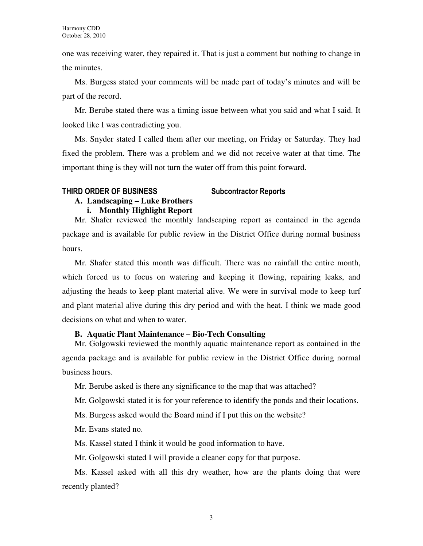one was receiving water, they repaired it. That is just a comment but nothing to change in the minutes.

Ms. Burgess stated your comments will be made part of today's minutes and will be part of the record.

Mr. Berube stated there was a timing issue between what you said and what I said. It looked like I was contradicting you.

Ms. Snyder stated I called them after our meeting, on Friday or Saturday. They had fixed the problem. There was a problem and we did not receive water at that time. The important thing is they will not turn the water off from this point forward.

# THIRD ORDER OF BUSINESS Subcontractor Reports

### **A. Landscaping – Luke Brothers i. Monthly Highlight Report**

Mr. Shafer reviewed the monthly landscaping report as contained in the agenda package and is available for public review in the District Office during normal business hours.

Mr. Shafer stated this month was difficult. There was no rainfall the entire month, which forced us to focus on watering and keeping it flowing, repairing leaks, and adjusting the heads to keep plant material alive. We were in survival mode to keep turf and plant material alive during this dry period and with the heat. I think we made good decisions on what and when to water.

# **B. Aquatic Plant Maintenance – Bio-Tech Consulting**

Mr. Golgowski reviewed the monthly aquatic maintenance report as contained in the agenda package and is available for public review in the District Office during normal business hours.

Mr. Berube asked is there any significance to the map that was attached?

Mr. Golgowski stated it is for your reference to identify the ponds and their locations.

Ms. Burgess asked would the Board mind if I put this on the website?

Mr. Evans stated no.

Ms. Kassel stated I think it would be good information to have.

Mr. Golgowski stated I will provide a cleaner copy for that purpose.

Ms. Kassel asked with all this dry weather, how are the plants doing that were recently planted?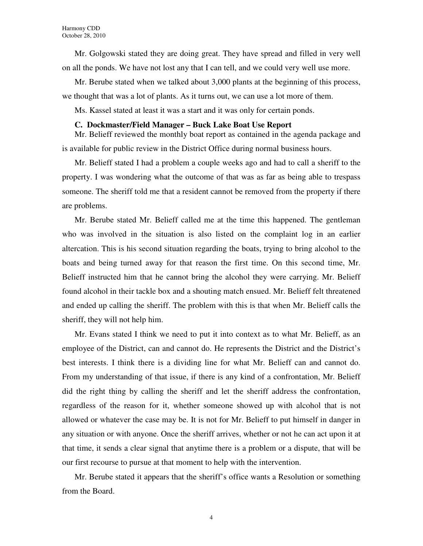Mr. Golgowski stated they are doing great. They have spread and filled in very well on all the ponds. We have not lost any that I can tell, and we could very well use more.

Mr. Berube stated when we talked about 3,000 plants at the beginning of this process, we thought that was a lot of plants. As it turns out, we can use a lot more of them.

Ms. Kassel stated at least it was a start and it was only for certain ponds.

### **C. Dockmaster/Field Manager – Buck Lake Boat Use Report**

Mr. Belieff reviewed the monthly boat report as contained in the agenda package and is available for public review in the District Office during normal business hours.

Mr. Belieff stated I had a problem a couple weeks ago and had to call a sheriff to the property. I was wondering what the outcome of that was as far as being able to trespass someone. The sheriff told me that a resident cannot be removed from the property if there are problems.

Mr. Berube stated Mr. Belieff called me at the time this happened. The gentleman who was involved in the situation is also listed on the complaint log in an earlier altercation. This is his second situation regarding the boats, trying to bring alcohol to the boats and being turned away for that reason the first time. On this second time, Mr. Belieff instructed him that he cannot bring the alcohol they were carrying. Mr. Belieff found alcohol in their tackle box and a shouting match ensued. Mr. Belieff felt threatened and ended up calling the sheriff. The problem with this is that when Mr. Belieff calls the sheriff, they will not help him.

Mr. Evans stated I think we need to put it into context as to what Mr. Belieff, as an employee of the District, can and cannot do. He represents the District and the District's best interests. I think there is a dividing line for what Mr. Belieff can and cannot do. From my understanding of that issue, if there is any kind of a confrontation, Mr. Belieff did the right thing by calling the sheriff and let the sheriff address the confrontation, regardless of the reason for it, whether someone showed up with alcohol that is not allowed or whatever the case may be. It is not for Mr. Belieff to put himself in danger in any situation or with anyone. Once the sheriff arrives, whether or not he can act upon it at that time, it sends a clear signal that anytime there is a problem or a dispute, that will be our first recourse to pursue at that moment to help with the intervention.

Mr. Berube stated it appears that the sheriff's office wants a Resolution or something from the Board.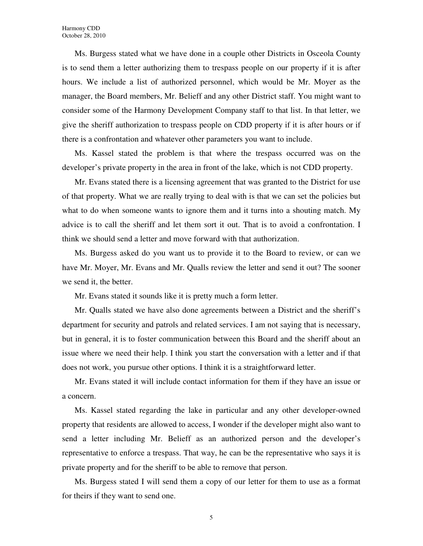Ms. Burgess stated what we have done in a couple other Districts in Osceola County is to send them a letter authorizing them to trespass people on our property if it is after hours. We include a list of authorized personnel, which would be Mr. Moyer as the manager, the Board members, Mr. Belieff and any other District staff. You might want to consider some of the Harmony Development Company staff to that list. In that letter, we give the sheriff authorization to trespass people on CDD property if it is after hours or if there is a confrontation and whatever other parameters you want to include.

Ms. Kassel stated the problem is that where the trespass occurred was on the developer's private property in the area in front of the lake, which is not CDD property.

Mr. Evans stated there is a licensing agreement that was granted to the District for use of that property. What we are really trying to deal with is that we can set the policies but what to do when someone wants to ignore them and it turns into a shouting match. My advice is to call the sheriff and let them sort it out. That is to avoid a confrontation. I think we should send a letter and move forward with that authorization.

Ms. Burgess asked do you want us to provide it to the Board to review, or can we have Mr. Moyer, Mr. Evans and Mr. Qualls review the letter and send it out? The sooner we send it, the better.

Mr. Evans stated it sounds like it is pretty much a form letter.

Mr. Qualls stated we have also done agreements between a District and the sheriff's department for security and patrols and related services. I am not saying that is necessary, but in general, it is to foster communication between this Board and the sheriff about an issue where we need their help. I think you start the conversation with a letter and if that does not work, you pursue other options. I think it is a straightforward letter.

Mr. Evans stated it will include contact information for them if they have an issue or a concern.

Ms. Kassel stated regarding the lake in particular and any other developer-owned property that residents are allowed to access, I wonder if the developer might also want to send a letter including Mr. Belieff as an authorized person and the developer's representative to enforce a trespass. That way, he can be the representative who says it is private property and for the sheriff to be able to remove that person.

Ms. Burgess stated I will send them a copy of our letter for them to use as a format for theirs if they want to send one.

5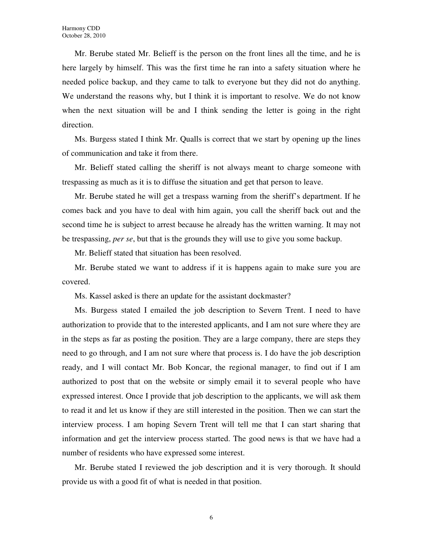Mr. Berube stated Mr. Belieff is the person on the front lines all the time, and he is here largely by himself. This was the first time he ran into a safety situation where he needed police backup, and they came to talk to everyone but they did not do anything. We understand the reasons why, but I think it is important to resolve. We do not know when the next situation will be and I think sending the letter is going in the right direction.

Ms. Burgess stated I think Mr. Qualls is correct that we start by opening up the lines of communication and take it from there.

Mr. Belieff stated calling the sheriff is not always meant to charge someone with trespassing as much as it is to diffuse the situation and get that person to leave.

Mr. Berube stated he will get a trespass warning from the sheriff's department. If he comes back and you have to deal with him again, you call the sheriff back out and the second time he is subject to arrest because he already has the written warning. It may not be trespassing, *per se*, but that is the grounds they will use to give you some backup.

Mr. Belieff stated that situation has been resolved.

Mr. Berube stated we want to address if it is happens again to make sure you are covered.

Ms. Kassel asked is there an update for the assistant dockmaster?

Ms. Burgess stated I emailed the job description to Severn Trent. I need to have authorization to provide that to the interested applicants, and I am not sure where they are in the steps as far as posting the position. They are a large company, there are steps they need to go through, and I am not sure where that process is. I do have the job description ready, and I will contact Mr. Bob Koncar, the regional manager, to find out if I am authorized to post that on the website or simply email it to several people who have expressed interest. Once I provide that job description to the applicants, we will ask them to read it and let us know if they are still interested in the position. Then we can start the interview process. I am hoping Severn Trent will tell me that I can start sharing that information and get the interview process started. The good news is that we have had a number of residents who have expressed some interest.

Mr. Berube stated I reviewed the job description and it is very thorough. It should provide us with a good fit of what is needed in that position.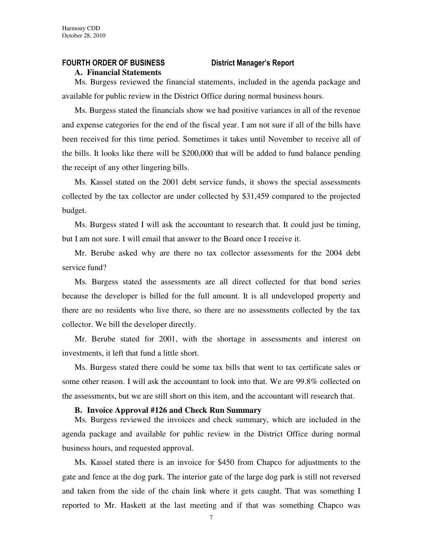# FOURTH ORDER OF BUSINESS District Manager's Report

#### **A. Financial Statements**

Ms. Burgess reviewed the financial statements, included in the agenda package and available for public review in the District Office during normal business hours.

Ms. Burgess stated the financials show we had positive variances in all of the revenue and expense categories for the end of the fiscal year. I am not sure if all of the bills have been received for this time period. Sometimes it takes until November to receive all of the bills. It looks like there will be \$200,000 that will be added to fund balance pending the receipt of any other lingering bills.

Ms. Kassel stated on the 2001 debt service funds, it shows the special assessments collected by the tax collector are under collected by \$31,459 compared to the projected budget.

Ms. Burgess stated I will ask the accountant to research that. It could just be timing, but I am not sure. I will email that answer to the Board once I receive it.

Mr. Berube asked why are there no tax collector assessments for the 2004 debt service fund?

Ms. Burgess stated the assessments are all direct collected for that bond series because the developer is billed for the full amount. It is all undeveloped property and there are no residents who live there, so there are no assessments collected by the tax collector. We bill the developer directly.

Mr. Berube stated for 2001, with the shortage in assessments and interest on investments, it left that fund a little short.

Ms. Burgess stated there could be some tax bills that went to tax certificate sales or some other reason. I will ask the accountant to look into that. We are 99.8% collected on the assessments, but we are still short on this item, and the accountant will research that.

#### **B. Invoice Approval #126 and Check Run Summary**

Ms. Burgess reviewed the invoices and check summary, which are included in the agenda package and available for public review in the District Office during normal business hours, and requested approval.

Ms. Kassel stated there is an invoice for \$450 from Chapco for adjustments to the gate and fence at the dog park. The interior gate of the large dog park is still not reversed and taken from the side of the chain link where it gets caught. That was something I reported to Mr. Haskett at the last meeting and if that was something Chapco was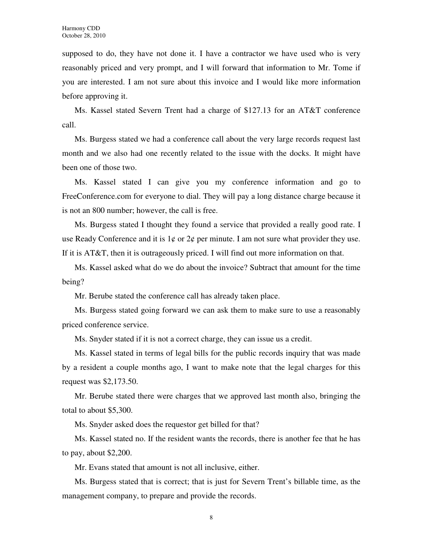supposed to do, they have not done it. I have a contractor we have used who is very reasonably priced and very prompt, and I will forward that information to Mr. Tome if you are interested. I am not sure about this invoice and I would like more information before approving it.

Ms. Kassel stated Severn Trent had a charge of \$127.13 for an AT&T conference call.

Ms. Burgess stated we had a conference call about the very large records request last month and we also had one recently related to the issue with the docks. It might have been one of those two.

Ms. Kassel stated I can give you my conference information and go to FreeConference.com for everyone to dial. They will pay a long distance charge because it is not an 800 number; however, the call is free.

Ms. Burgess stated I thought they found a service that provided a really good rate. I use Ready Conference and it is  $1\phi$  or  $2\phi$  per minute. I am not sure what provider they use. If it is AT&T, then it is outrageously priced. I will find out more information on that.

Ms. Kassel asked what do we do about the invoice? Subtract that amount for the time being?

Mr. Berube stated the conference call has already taken place.

Ms. Burgess stated going forward we can ask them to make sure to use a reasonably priced conference service.

Ms. Snyder stated if it is not a correct charge, they can issue us a credit.

Ms. Kassel stated in terms of legal bills for the public records inquiry that was made by a resident a couple months ago, I want to make note that the legal charges for this request was \$2,173.50.

Mr. Berube stated there were charges that we approved last month also, bringing the total to about \$5,300.

Ms. Snyder asked does the requestor get billed for that?

Ms. Kassel stated no. If the resident wants the records, there is another fee that he has to pay, about \$2,200.

Mr. Evans stated that amount is not all inclusive, either.

Ms. Burgess stated that is correct; that is just for Severn Trent's billable time, as the management company, to prepare and provide the records.

8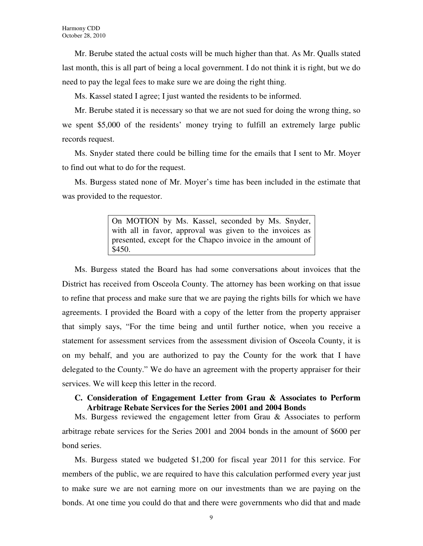Mr. Berube stated the actual costs will be much higher than that. As Mr. Qualls stated last month, this is all part of being a local government. I do not think it is right, but we do need to pay the legal fees to make sure we are doing the right thing.

Ms. Kassel stated I agree; I just wanted the residents to be informed.

Mr. Berube stated it is necessary so that we are not sued for doing the wrong thing, so we spent \$5,000 of the residents' money trying to fulfill an extremely large public records request.

Ms. Snyder stated there could be billing time for the emails that I sent to Mr. Moyer to find out what to do for the request.

Ms. Burgess stated none of Mr. Moyer's time has been included in the estimate that was provided to the requestor.

> On MOTION by Ms. Kassel, seconded by Ms. Snyder, with all in favor, approval was given to the invoices as presented, except for the Chapco invoice in the amount of \$450.

Ms. Burgess stated the Board has had some conversations about invoices that the District has received from Osceola County. The attorney has been working on that issue to refine that process and make sure that we are paying the rights bills for which we have agreements. I provided the Board with a copy of the letter from the property appraiser that simply says, "For the time being and until further notice, when you receive a statement for assessment services from the assessment division of Osceola County, it is on my behalf, and you are authorized to pay the County for the work that I have delegated to the County." We do have an agreement with the property appraiser for their services. We will keep this letter in the record.

# **C. Consideration of Engagement Letter from Grau & Associates to Perform Arbitrage Rebate Services for the Series 2001 and 2004 Bonds**

Ms. Burgess reviewed the engagement letter from Grau & Associates to perform arbitrage rebate services for the Series 2001 and 2004 bonds in the amount of \$600 per bond series.

Ms. Burgess stated we budgeted \$1,200 for fiscal year 2011 for this service. For members of the public, we are required to have this calculation performed every year just to make sure we are not earning more on our investments than we are paying on the bonds. At one time you could do that and there were governments who did that and made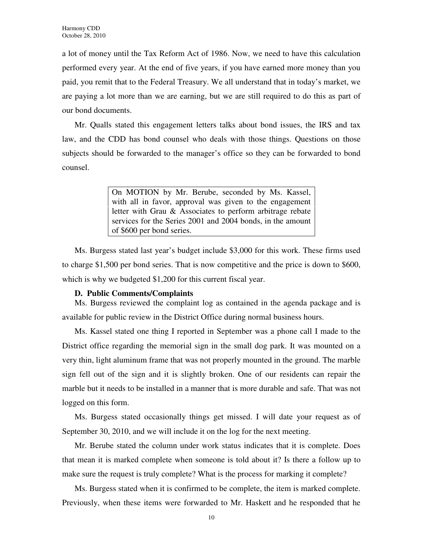a lot of money until the Tax Reform Act of 1986. Now, we need to have this calculation performed every year. At the end of five years, if you have earned more money than you paid, you remit that to the Federal Treasury. We all understand that in today's market, we are paying a lot more than we are earning, but we are still required to do this as part of our bond documents.

Mr. Qualls stated this engagement letters talks about bond issues, the IRS and tax law, and the CDD has bond counsel who deals with those things. Questions on those subjects should be forwarded to the manager's office so they can be forwarded to bond counsel.

> On MOTION by Mr. Berube, seconded by Ms. Kassel, with all in favor, approval was given to the engagement letter with Grau & Associates to perform arbitrage rebate services for the Series 2001 and 2004 bonds, in the amount of \$600 per bond series.

Ms. Burgess stated last year's budget include \$3,000 for this work. These firms used to charge \$1,500 per bond series. That is now competitive and the price is down to \$600, which is why we budgeted \$1,200 for this current fiscal year.

# **D. Public Comments/Complaints**

Ms. Burgess reviewed the complaint log as contained in the agenda package and is available for public review in the District Office during normal business hours.

Ms. Kassel stated one thing I reported in September was a phone call I made to the District office regarding the memorial sign in the small dog park. It was mounted on a very thin, light aluminum frame that was not properly mounted in the ground. The marble sign fell out of the sign and it is slightly broken. One of our residents can repair the marble but it needs to be installed in a manner that is more durable and safe. That was not logged on this form.

Ms. Burgess stated occasionally things get missed. I will date your request as of September 30, 2010, and we will include it on the log for the next meeting.

Mr. Berube stated the column under work status indicates that it is complete. Does that mean it is marked complete when someone is told about it? Is there a follow up to make sure the request is truly complete? What is the process for marking it complete?

Ms. Burgess stated when it is confirmed to be complete, the item is marked complete. Previously, when these items were forwarded to Mr. Haskett and he responded that he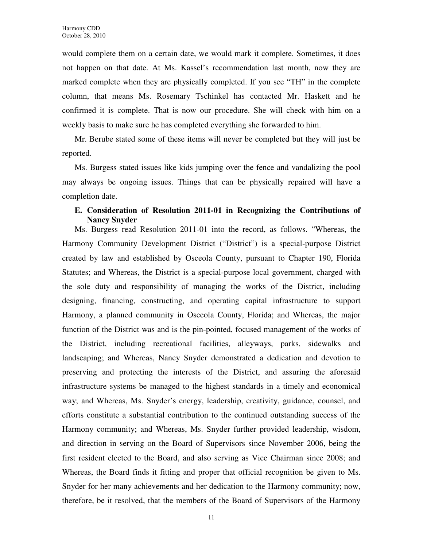would complete them on a certain date, we would mark it complete. Sometimes, it does not happen on that date. At Ms. Kassel's recommendation last month, now they are marked complete when they are physically completed. If you see "TH" in the complete column, that means Ms. Rosemary Tschinkel has contacted Mr. Haskett and he confirmed it is complete. That is now our procedure. She will check with him on a weekly basis to make sure he has completed everything she forwarded to him.

Mr. Berube stated some of these items will never be completed but they will just be reported.

Ms. Burgess stated issues like kids jumping over the fence and vandalizing the pool may always be ongoing issues. Things that can be physically repaired will have a completion date.

# **E. Consideration of Resolution 2011-01 in Recognizing the Contributions of Nancy Snyder**

Ms. Burgess read Resolution 2011-01 into the record, as follows. "Whereas, the Harmony Community Development District ("District") is a special-purpose District created by law and established by Osceola County, pursuant to Chapter 190, Florida Statutes; and Whereas, the District is a special-purpose local government, charged with the sole duty and responsibility of managing the works of the District, including designing, financing, constructing, and operating capital infrastructure to support Harmony, a planned community in Osceola County, Florida; and Whereas, the major function of the District was and is the pin-pointed, focused management of the works of the District, including recreational facilities, alleyways, parks, sidewalks and landscaping; and Whereas, Nancy Snyder demonstrated a dedication and devotion to preserving and protecting the interests of the District, and assuring the aforesaid infrastructure systems be managed to the highest standards in a timely and economical way; and Whereas, Ms. Snyder's energy, leadership, creativity, guidance, counsel, and efforts constitute a substantial contribution to the continued outstanding success of the Harmony community; and Whereas, Ms. Snyder further provided leadership, wisdom, and direction in serving on the Board of Supervisors since November 2006, being the first resident elected to the Board, and also serving as Vice Chairman since 2008; and Whereas, the Board finds it fitting and proper that official recognition be given to Ms. Snyder for her many achievements and her dedication to the Harmony community; now, therefore, be it resolved, that the members of the Board of Supervisors of the Harmony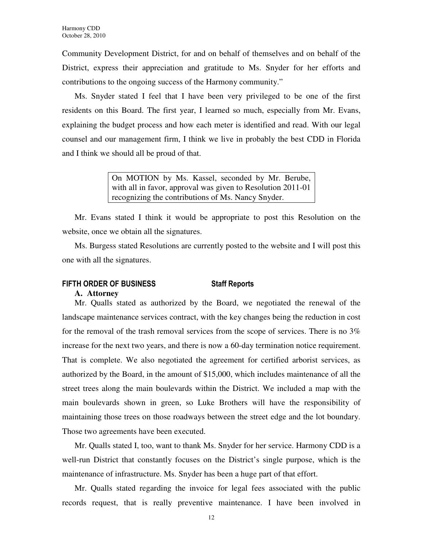Community Development District, for and on behalf of themselves and on behalf of the District, express their appreciation and gratitude to Ms. Snyder for her efforts and contributions to the ongoing success of the Harmony community."

Ms. Snyder stated I feel that I have been very privileged to be one of the first residents on this Board. The first year, I learned so much, especially from Mr. Evans, explaining the budget process and how each meter is identified and read. With our legal counsel and our management firm, I think we live in probably the best CDD in Florida and I think we should all be proud of that.

> On MOTION by Ms. Kassel, seconded by Mr. Berube, with all in favor, approval was given to Resolution 2011-01 recognizing the contributions of Ms. Nancy Snyder.

Mr. Evans stated I think it would be appropriate to post this Resolution on the website, once we obtain all the signatures.

Ms. Burgess stated Resolutions are currently posted to the website and I will post this one with all the signatures.

# FIFTH ORDER OF BUSINESS Staff Reports

# **A. Attorney**

Mr. Qualls stated as authorized by the Board, we negotiated the renewal of the landscape maintenance services contract, with the key changes being the reduction in cost for the removal of the trash removal services from the scope of services. There is no 3% increase for the next two years, and there is now a 60-day termination notice requirement. That is complete. We also negotiated the agreement for certified arborist services, as authorized by the Board, in the amount of \$15,000, which includes maintenance of all the street trees along the main boulevards within the District. We included a map with the main boulevards shown in green, so Luke Brothers will have the responsibility of maintaining those trees on those roadways between the street edge and the lot boundary. Those two agreements have been executed.

Mr. Qualls stated I, too, want to thank Ms. Snyder for her service. Harmony CDD is a well-run District that constantly focuses on the District's single purpose, which is the maintenance of infrastructure. Ms. Snyder has been a huge part of that effort.

Mr. Qualls stated regarding the invoice for legal fees associated with the public records request, that is really preventive maintenance. I have been involved in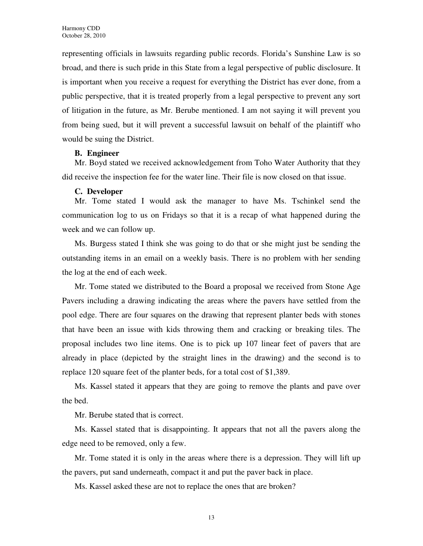representing officials in lawsuits regarding public records. Florida's Sunshine Law is so broad, and there is such pride in this State from a legal perspective of public disclosure. It is important when you receive a request for everything the District has ever done, from a public perspective, that it is treated properly from a legal perspective to prevent any sort of litigation in the future, as Mr. Berube mentioned. I am not saying it will prevent you from being sued, but it will prevent a successful lawsuit on behalf of the plaintiff who would be suing the District.

# **B. Engineer**

Mr. Boyd stated we received acknowledgement from Toho Water Authority that they did receive the inspection fee for the water line. Their file is now closed on that issue.

# **C. Developer**

Mr. Tome stated I would ask the manager to have Ms. Tschinkel send the communication log to us on Fridays so that it is a recap of what happened during the week and we can follow up.

Ms. Burgess stated I think she was going to do that or she might just be sending the outstanding items in an email on a weekly basis. There is no problem with her sending the log at the end of each week.

Mr. Tome stated we distributed to the Board a proposal we received from Stone Age Pavers including a drawing indicating the areas where the pavers have settled from the pool edge. There are four squares on the drawing that represent planter beds with stones that have been an issue with kids throwing them and cracking or breaking tiles. The proposal includes two line items. One is to pick up 107 linear feet of pavers that are already in place (depicted by the straight lines in the drawing) and the second is to replace 120 square feet of the planter beds, for a total cost of \$1,389.

Ms. Kassel stated it appears that they are going to remove the plants and pave over the bed.

Mr. Berube stated that is correct.

Ms. Kassel stated that is disappointing. It appears that not all the pavers along the edge need to be removed, only a few.

Mr. Tome stated it is only in the areas where there is a depression. They will lift up the pavers, put sand underneath, compact it and put the paver back in place.

Ms. Kassel asked these are not to replace the ones that are broken?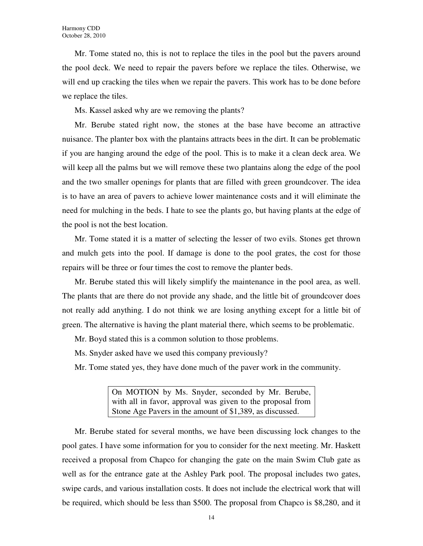Mr. Tome stated no, this is not to replace the tiles in the pool but the pavers around the pool deck. We need to repair the pavers before we replace the tiles. Otherwise, we will end up cracking the tiles when we repair the pavers. This work has to be done before we replace the tiles.

Ms. Kassel asked why are we removing the plants?

Mr. Berube stated right now, the stones at the base have become an attractive nuisance. The planter box with the plantains attracts bees in the dirt. It can be problematic if you are hanging around the edge of the pool. This is to make it a clean deck area. We will keep all the palms but we will remove these two plantains along the edge of the pool and the two smaller openings for plants that are filled with green groundcover. The idea is to have an area of pavers to achieve lower maintenance costs and it will eliminate the need for mulching in the beds. I hate to see the plants go, but having plants at the edge of the pool is not the best location.

Mr. Tome stated it is a matter of selecting the lesser of two evils. Stones get thrown and mulch gets into the pool. If damage is done to the pool grates, the cost for those repairs will be three or four times the cost to remove the planter beds.

Mr. Berube stated this will likely simplify the maintenance in the pool area, as well. The plants that are there do not provide any shade, and the little bit of groundcover does not really add anything. I do not think we are losing anything except for a little bit of green. The alternative is having the plant material there, which seems to be problematic.

Mr. Boyd stated this is a common solution to those problems.

Ms. Snyder asked have we used this company previously?

Mr. Tome stated yes, they have done much of the paver work in the community.

On MOTION by Ms. Snyder, seconded by Mr. Berube, with all in favor, approval was given to the proposal from Stone Age Pavers in the amount of \$1,389, as discussed.

Mr. Berube stated for several months, we have been discussing lock changes to the pool gates. I have some information for you to consider for the next meeting. Mr. Haskett received a proposal from Chapco for changing the gate on the main Swim Club gate as well as for the entrance gate at the Ashley Park pool. The proposal includes two gates, swipe cards, and various installation costs. It does not include the electrical work that will be required, which should be less than \$500. The proposal from Chapco is \$8,280, and it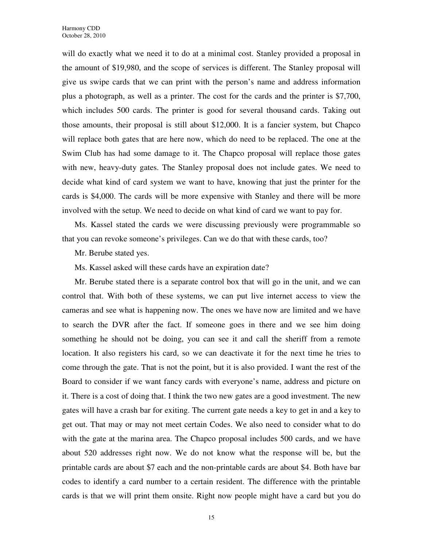will do exactly what we need it to do at a minimal cost. Stanley provided a proposal in the amount of \$19,980, and the scope of services is different. The Stanley proposal will give us swipe cards that we can print with the person's name and address information plus a photograph, as well as a printer. The cost for the cards and the printer is \$7,700, which includes 500 cards. The printer is good for several thousand cards. Taking out those amounts, their proposal is still about \$12,000. It is a fancier system, but Chapco will replace both gates that are here now, which do need to be replaced. The one at the Swim Club has had some damage to it. The Chapco proposal will replace those gates with new, heavy-duty gates. The Stanley proposal does not include gates. We need to decide what kind of card system we want to have, knowing that just the printer for the cards is \$4,000. The cards will be more expensive with Stanley and there will be more involved with the setup. We need to decide on what kind of card we want to pay for.

Ms. Kassel stated the cards we were discussing previously were programmable so that you can revoke someone's privileges. Can we do that with these cards, too?

Mr. Berube stated yes.

Ms. Kassel asked will these cards have an expiration date?

Mr. Berube stated there is a separate control box that will go in the unit, and we can control that. With both of these systems, we can put live internet access to view the cameras and see what is happening now. The ones we have now are limited and we have to search the DVR after the fact. If someone goes in there and we see him doing something he should not be doing, you can see it and call the sheriff from a remote location. It also registers his card, so we can deactivate it for the next time he tries to come through the gate. That is not the point, but it is also provided. I want the rest of the Board to consider if we want fancy cards with everyone's name, address and picture on it. There is a cost of doing that. I think the two new gates are a good investment. The new gates will have a crash bar for exiting. The current gate needs a key to get in and a key to get out. That may or may not meet certain Codes. We also need to consider what to do with the gate at the marina area. The Chapco proposal includes 500 cards, and we have about 520 addresses right now. We do not know what the response will be, but the printable cards are about \$7 each and the non-printable cards are about \$4. Both have bar codes to identify a card number to a certain resident. The difference with the printable cards is that we will print them onsite. Right now people might have a card but you do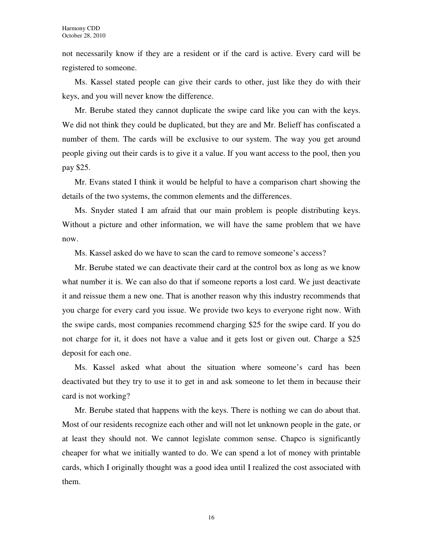not necessarily know if they are a resident or if the card is active. Every card will be registered to someone.

Ms. Kassel stated people can give their cards to other, just like they do with their keys, and you will never know the difference.

Mr. Berube stated they cannot duplicate the swipe card like you can with the keys. We did not think they could be duplicated, but they are and Mr. Belieff has confiscated a number of them. The cards will be exclusive to our system. The way you get around people giving out their cards is to give it a value. If you want access to the pool, then you pay \$25.

Mr. Evans stated I think it would be helpful to have a comparison chart showing the details of the two systems, the common elements and the differences.

Ms. Snyder stated I am afraid that our main problem is people distributing keys. Without a picture and other information, we will have the same problem that we have now.

Ms. Kassel asked do we have to scan the card to remove someone's access?

Mr. Berube stated we can deactivate their card at the control box as long as we know what number it is. We can also do that if someone reports a lost card. We just deactivate it and reissue them a new one. That is another reason why this industry recommends that you charge for every card you issue. We provide two keys to everyone right now. With the swipe cards, most companies recommend charging \$25 for the swipe card. If you do not charge for it, it does not have a value and it gets lost or given out. Charge a \$25 deposit for each one.

Ms. Kassel asked what about the situation where someone's card has been deactivated but they try to use it to get in and ask someone to let them in because their card is not working?

Mr. Berube stated that happens with the keys. There is nothing we can do about that. Most of our residents recognize each other and will not let unknown people in the gate, or at least they should not. We cannot legislate common sense. Chapco is significantly cheaper for what we initially wanted to do. We can spend a lot of money with printable cards, which I originally thought was a good idea until I realized the cost associated with them.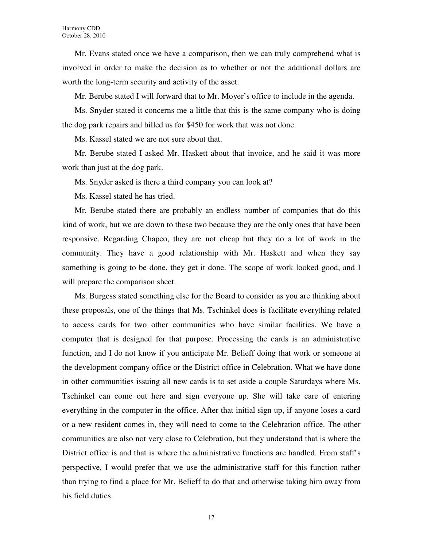Mr. Evans stated once we have a comparison, then we can truly comprehend what is involved in order to make the decision as to whether or not the additional dollars are worth the long-term security and activity of the asset.

Mr. Berube stated I will forward that to Mr. Moyer's office to include in the agenda.

Ms. Snyder stated it concerns me a little that this is the same company who is doing the dog park repairs and billed us for \$450 for work that was not done.

Ms. Kassel stated we are not sure about that.

Mr. Berube stated I asked Mr. Haskett about that invoice, and he said it was more work than just at the dog park.

Ms. Snyder asked is there a third company you can look at?

Ms. Kassel stated he has tried.

Mr. Berube stated there are probably an endless number of companies that do this kind of work, but we are down to these two because they are the only ones that have been responsive. Regarding Chapco, they are not cheap but they do a lot of work in the community. They have a good relationship with Mr. Haskett and when they say something is going to be done, they get it done. The scope of work looked good, and I will prepare the comparison sheet.

Ms. Burgess stated something else for the Board to consider as you are thinking about these proposals, one of the things that Ms. Tschinkel does is facilitate everything related to access cards for two other communities who have similar facilities. We have a computer that is designed for that purpose. Processing the cards is an administrative function, and I do not know if you anticipate Mr. Belieff doing that work or someone at the development company office or the District office in Celebration. What we have done in other communities issuing all new cards is to set aside a couple Saturdays where Ms. Tschinkel can come out here and sign everyone up. She will take care of entering everything in the computer in the office. After that initial sign up, if anyone loses a card or a new resident comes in, they will need to come to the Celebration office. The other communities are also not very close to Celebration, but they understand that is where the District office is and that is where the administrative functions are handled. From staff's perspective, I would prefer that we use the administrative staff for this function rather than trying to find a place for Mr. Belieff to do that and otherwise taking him away from his field duties.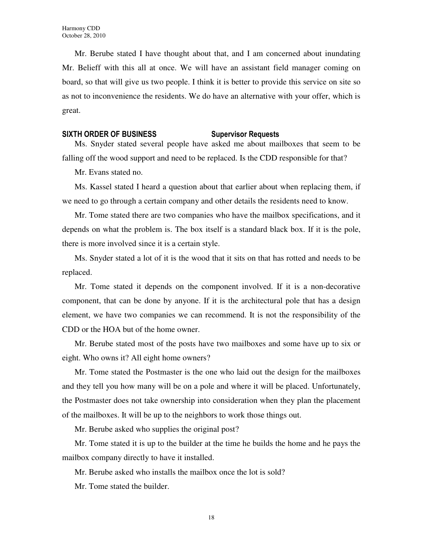Mr. Berube stated I have thought about that, and I am concerned about inundating Mr. Belieff with this all at once. We will have an assistant field manager coming on board, so that will give us two people. I think it is better to provide this service on site so as not to inconvenience the residents. We do have an alternative with your offer, which is great.

### SIXTH ORDER OF BUSINESS Supervisor Requests

Ms. Snyder stated several people have asked me about mailboxes that seem to be falling off the wood support and need to be replaced. Is the CDD responsible for that?

Mr. Evans stated no.

Ms. Kassel stated I heard a question about that earlier about when replacing them, if we need to go through a certain company and other details the residents need to know.

Mr. Tome stated there are two companies who have the mailbox specifications, and it depends on what the problem is. The box itself is a standard black box. If it is the pole, there is more involved since it is a certain style.

Ms. Snyder stated a lot of it is the wood that it sits on that has rotted and needs to be replaced.

Mr. Tome stated it depends on the component involved. If it is a non-decorative component, that can be done by anyone. If it is the architectural pole that has a design element, we have two companies we can recommend. It is not the responsibility of the CDD or the HOA but of the home owner.

Mr. Berube stated most of the posts have two mailboxes and some have up to six or eight. Who owns it? All eight home owners?

Mr. Tome stated the Postmaster is the one who laid out the design for the mailboxes and they tell you how many will be on a pole and where it will be placed. Unfortunately, the Postmaster does not take ownership into consideration when they plan the placement of the mailboxes. It will be up to the neighbors to work those things out.

Mr. Berube asked who supplies the original post?

Mr. Tome stated it is up to the builder at the time he builds the home and he pays the mailbox company directly to have it installed.

Mr. Berube asked who installs the mailbox once the lot is sold?

Mr. Tome stated the builder.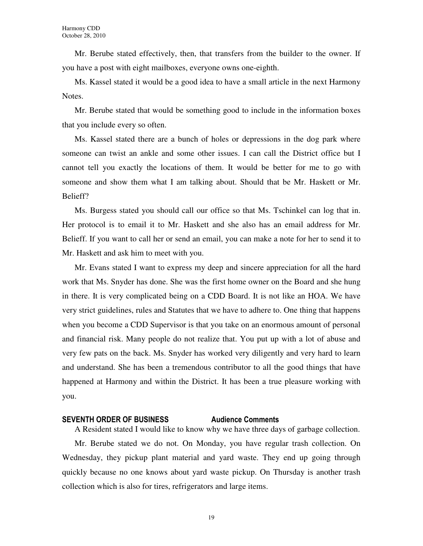Mr. Berube stated effectively, then, that transfers from the builder to the owner. If you have a post with eight mailboxes, everyone owns one-eighth.

Ms. Kassel stated it would be a good idea to have a small article in the next Harmony Notes.

Mr. Berube stated that would be something good to include in the information boxes that you include every so often.

Ms. Kassel stated there are a bunch of holes or depressions in the dog park where someone can twist an ankle and some other issues. I can call the District office but I cannot tell you exactly the locations of them. It would be better for me to go with someone and show them what I am talking about. Should that be Mr. Haskett or Mr. Belieff?

Ms. Burgess stated you should call our office so that Ms. Tschinkel can log that in. Her protocol is to email it to Mr. Haskett and she also has an email address for Mr. Belieff. If you want to call her or send an email, you can make a note for her to send it to Mr. Haskett and ask him to meet with you.

Mr. Evans stated I want to express my deep and sincere appreciation for all the hard work that Ms. Snyder has done. She was the first home owner on the Board and she hung in there. It is very complicated being on a CDD Board. It is not like an HOA. We have very strict guidelines, rules and Statutes that we have to adhere to. One thing that happens when you become a CDD Supervisor is that you take on an enormous amount of personal and financial risk. Many people do not realize that. You put up with a lot of abuse and very few pats on the back. Ms. Snyder has worked very diligently and very hard to learn and understand. She has been a tremendous contributor to all the good things that have happened at Harmony and within the District. It has been a true pleasure working with you.

# SEVENTH ORDER OF BUSINESS Audience Comments

A Resident stated I would like to know why we have three days of garbage collection.

Mr. Berube stated we do not. On Monday, you have regular trash collection. On Wednesday, they pickup plant material and yard waste. They end up going through quickly because no one knows about yard waste pickup. On Thursday is another trash collection which is also for tires, refrigerators and large items.